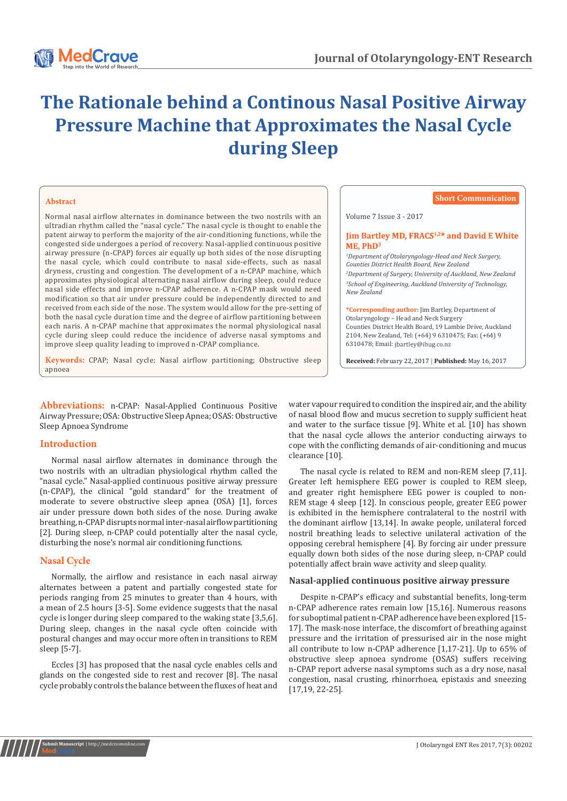

# **The Rationale behind a Continous Nasal Positive Airway Pressure Machine that Approximates the Nasal Cycle during Sleep**

## **Abstract**

Normal nasal airflow alternates in dominance between the two nostrils with an ultradian rhythm called the "nasal cycle." The nasal cycle is thought to enable the patent airway to perform the majority of the air-conditioning functions, while the congested side undergoes a period of recovery. Nasal-applied continuous positive airway pressure (n-CPAP) forces air equally up both sides of the nose disrupting the nasal cycle, which could contribute to nasal side-effects, such as nasal dryness, crusting and congestion. The development of a n-CPAP machine, which approximates physiological alternating nasal airflow during sleep, could reduce nasal side effects and improve n-CPAP adherence. A n-CPAP mask would need modification so that air under pressure could be independently directed to and received from each side of the nose. The system would allow for the pre-setting of both the nasal cycle duration time and the degree of airflow partitioning between each naris. A n-CPAP machine that approximates the normal physiological nasal cycle during sleep could reduce the incidence of adverse nasal symptoms and improve sleep quality leading to improved n-CPAP compliance.

**Keywords:** CPAP; Nasal cycle; Nasal airflow partitioning; Obstructive sleep apnoea

**Abbreviations:** n-CPAP: Nasal-Applied Continuous Positive Airway Pressure; OSA: Obstructive Sleep Apnea; OSAS: Obstructive Sleep Apnoea Syndrome

## **Introduction**

Normal nasal airflow alternates in dominance through the two nostrils with an ultradian physiological rhythm called the "nasal cycle." Nasal-applied continuous positive airway pressure (n-CPAP), the clinical "gold standard" for the treatment of moderate to severe obstructive sleep apnea (OSA) [1], forces air under pressure down both sides of the nose. During awake breathing, n-CPAP disrupts normal inter-nasal airflow partitioning [2]. During sleep, n-CPAP could potentially alter the nasal cycle, disturbing the nose's normal air conditioning functions.

## **Nasal Cycle**

**Submit Manuscript** | http://medcraveonline.com

Normally, the airflow and resistance in each nasal airway alternates between a patent and partially congested state for periods ranging from 25 minutes to greater than 4 hours, with a mean of 2.5 hours [3-5]. Some evidence suggests that the nasal cycle is longer during sleep compared to the waking state [3,5,6]. During sleep, changes in the nasal cycle often coincide with postural changes and may occur more often in transitions to REM sleep [5-7].

Eccles [3] has proposed that the nasal cycle enables cells and glands on the congested side to rest and recover [8]. The nasal cycle probably controls the balance between the fluxes of heat and

| <b>Short Communication</b>                                                                                                                                                                                                                               |
|----------------------------------------------------------------------------------------------------------------------------------------------------------------------------------------------------------------------------------------------------------|
| Volume 7 Issue 3 - 2017                                                                                                                                                                                                                                  |
| <b>Jim Bartley MD, FRACS<sup>1,2*</sup> and David E White</b><br>$ME$ . PhD <sup>3</sup>                                                                                                                                                                 |
| <sup>1</sup> Department of Otolaryngology-Head and Neck Surgery,<br>Counties District Health Board, New Zealand                                                                                                                                          |
| <sup>2</sup> Department of Surgery, University of Auckland, New Zealand<br><sup>3</sup> School of Engineering, Auckland University of Technology,<br>New Zealand                                                                                         |
| *Corresponding author: Jim Bartley, Department of<br>Otolaryngology – Head and Neck Surgery<br>Counties District Health Board, 19 Lambie Drive, Auckland<br>2104, New Zealand, Tel: (+64) 9 6310475; Fax: (+64) 9<br>6310478; Email: jbartley@ihug.co.nz |

**Received:** February 22, 2017 **| Published:** May 16, 2017

water vapour required to condition the inspired air, and the ability of nasal blood flow and mucus secretion to supply sufficient heat and water to the surface tissue [9]. White et al. [10] has shown that the nasal cycle allows the anterior conducting airways to cope with the conflicting demands of air-conditioning and mucus clearance [10].

The nasal cycle is related to REM and non-REM sleep [7,11]. Greater left hemisphere EEG power is coupled to REM sleep, and greater right hemisphere EEG power is coupled to non-REM stage 4 sleep [12]. In conscious people, greater EEG power is exhibited in the hemisphere contralateral to the nostril with the dominant airflow [13,14]. In awake people, unilateral forced nostril breathing leads to selective unilateral activation of the opposing cerebral hemisphere [4]. By forcing air under pressure equally down both sides of the nose during sleep, n-CPAP could potentially affect brain wave activity and sleep quality.

## **Nasal-applied continuous positive airway pressure**

Despite n-CPAP's efficacy and substantial benefits, long-term n-CPAP adherence rates remain low [15,16]. Numerous reasons for suboptimal patient n-CPAP adherence have been explored [15- 17]. The mask-nose interface, the discomfort of breathing against pressure and the irritation of pressurised air in the nose might all contribute to low n-CPAP adherence [1,17-21]. Up to 65% of obstructive sleep apnoea syndrome (OSAS) suffers receiving n-CPAP report adverse nasal symptoms such as a dry nose, nasal congestion, nasal crusting, rhinorrhoea, epistaxis and sneezing [17,19, 22-25].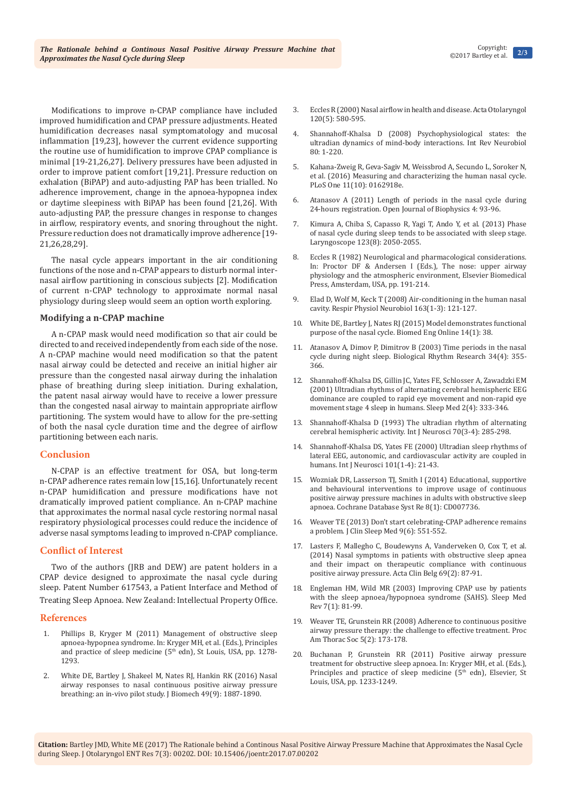Modifications to improve n-CPAP compliance have included improved humidification and CPAP pressure adjustments. Heated humidification decreases nasal symptomatology and mucosal inflammation [19,23], however the current evidence supporting the routine use of humidification to improve CPAP compliance is minimal [19-21,26,27]. Delivery pressures have been adjusted in order to improve patient comfort [19,21]. Pressure reduction on exhalation (BiPAP) and auto-adjusting PAP has been trialled. No adherence improvement, change in the apnoea-hypopnea index or daytime sleepiness with BiPAP has been found [21,26]. With auto-adjusting PAP, the pressure changes in response to changes in airflow, respiratory events, and snoring throughout the night. Pressure reduction does not dramatically improve adherence [19- 21,26,28,29].

The nasal cycle appears important in the air conditioning functions of the nose and n-CPAP appears to disturb normal internasal airflow partitioning in conscious subjects [2]. Modification of current n-CPAP technology to approximate normal nasal physiology during sleep would seem an option worth exploring.

#### **Modifying a n-CPAP machine**

A n-CPAP mask would need modification so that air could be directed to and received independently from each side of the nose. A n-CPAP machine would need modification so that the patent nasal airway could be detected and receive an initial higher air pressure than the congested nasal airway during the inhalation phase of breathing during sleep initiation. During exhalation, the patent nasal airway would have to receive a lower pressure than the congested nasal airway to maintain appropriate airflow partitioning. The system would have to allow for the pre-setting of both the nasal cycle duration time and the degree of airflow partitioning between each naris.

### **Conclusion**

N-CPAP is an effective treatment for OSA, but long-term n-CPAP adherence rates remain low [15,16]. Unfortunately recent n-CPAP humidification and pressure modifications have not dramatically improved patient compliance. An n-CPAP machine that approximates the normal nasal cycle restoring normal nasal respiratory physiological processes could reduce the incidence of adverse nasal symptoms leading to improved n-CPAP compliance.

### **Conflict of Interest**

Two of the authors (JRB and DEW) are patent holders in a CPAP device designed to approximate the nasal cycle during sleep. Patent Number 617543, a Patient Interface and Method of Treating Sleep Apnoea. New Zealand: Intellectual Property Office.

#### **References**

- 1. Phillips B, Kryger M (2011) Management of obstructive sleep apnoea-hypopnea syndrome. In: Kryger MH, et al. (Eds.), Principles and practice of sleep medicine (5<sup>th</sup> edn), St Louis, USA, pp. 1278-1293.
- 2. White DE, Bartley J, Shakeel M, Nates RJ, Hankin RK (2016) Nasal [airway responses to nasal continuous positive airway pressure](https://www.ncbi.nlm.nih.gov/pubmed/27173595)  [breathing: an in-vivo pilot study. J Biomech 49\(9\): 1887-1890.](https://www.ncbi.nlm.nih.gov/pubmed/27173595)
- 3. [Eccles R \(2000\) Nasal airflow in health and disease. Acta Otolaryngol](https://www.ncbi.nlm.nih.gov/pubmed/11039867)  [120\(5\): 580-595.](https://www.ncbi.nlm.nih.gov/pubmed/11039867)
- 4. [Shannahoff-Khalsa D \(2008\) Psychophysiological states: the](https://www.ncbi.nlm.nih.gov/pubmed/17967615)  [ultradian dynamics of mind-body interactions. Int Rev Neurobiol](https://www.ncbi.nlm.nih.gov/pubmed/17967615)  [80: 1-220.](https://www.ncbi.nlm.nih.gov/pubmed/17967615)
- 5. [Kahana-Zweig R, Geva-Sagiv M, Weissbrod A, Secundo L, Soroker N,](https://www.ncbi.nlm.nih.gov/pubmed/27711189)  [et al. \(2016\) Measuring and characterizing the human nasal cycle.](https://www.ncbi.nlm.nih.gov/pubmed/27711189)  [PLoS One 11\(10\): 0162918e.](https://www.ncbi.nlm.nih.gov/pubmed/27711189)
- 6. Atanasov A (2011) Length of periods in the nasal cycle during 24-hours registration. Open Journal of Biophysics 4: 93-96.
- 7. [Kimura A, Chiba S, Capasso R, Yagi T, Ando Y, et al. \(2013\) Phase](https://www.ncbi.nlm.nih.gov/pubmed/23576311)  [of nasal cycle during sleep tends to be associated with sleep stage.](https://www.ncbi.nlm.nih.gov/pubmed/23576311)  [Laryngoscope 123\(8\): 2050-2055.](https://www.ncbi.nlm.nih.gov/pubmed/23576311)
- 8. Eccles R (1982) Neurological and pharmacological considerations. In: Proctor DF & Andersen I (Eds.), The nose: upper airway physiology and the atmospheric environment, Elsevier Biomedical Press, Amsterdam, USA, pp. 191-214.
- 9. [Elad D, Wolf M, Keck T \(2008\) Air-conditioning in the human nasal](https://www.ncbi.nlm.nih.gov/pubmed/18565805)  [cavity. Respir Physiol Neurobiol 163\(1-3\): 121-127.](https://www.ncbi.nlm.nih.gov/pubmed/18565805)
- 10. [White DE, Bartley J, Nates RJ \(2015\) Model demonstrates functional](https://www.ncbi.nlm.nih.gov/pubmed/25907572/)  [purpose of the nasal cycle. Biomed Eng Online 14\(1\): 38.](https://www.ncbi.nlm.nih.gov/pubmed/25907572/)
- 11. [Atanasov A, Dimov P, Dimitrov B \(2003\) Time periods in the nasal](http://www.tandfonline.com/doi/abs/10.1076/brhm.34.4.355.26226)  [cycle during night sleep. Biological Rhythm Research 34\(4\): 355-](http://www.tandfonline.com/doi/abs/10.1076/brhm.34.4.355.26226) [366.](http://www.tandfonline.com/doi/abs/10.1076/brhm.34.4.355.26226)
- 12. [Shannahoff-Khalsa DS, Gillin JC, Yates FE, Schlosser A, Zawadzki EM](https://www.ncbi.nlm.nih.gov/pubmed/11438250)  [\(2001\) Ultradian rhythms of alternating cerebral hemispheric EEG](https://www.ncbi.nlm.nih.gov/pubmed/11438250)  [dominance are coupled to rapid eye movement and non-rapid eye](https://www.ncbi.nlm.nih.gov/pubmed/11438250)  [movement stage 4 sleep in humans. Sleep Med 2\(4\): 333-346.](https://www.ncbi.nlm.nih.gov/pubmed/11438250)
- 13. [Shannahoff-Khalsa D \(1993\) The ultradian rhythm of alternating](https://www.ncbi.nlm.nih.gov/pubmed/8063547)  [cerebral hemispheric activity. Int J Neurosci 70\(3-4\): 285-298.](https://www.ncbi.nlm.nih.gov/pubmed/8063547)
- 14. [Shannahoff-Khalsa DS, Yates FE \(2000\) Ultradian sleep rhythms of](https://www.ncbi.nlm.nih.gov/pubmed/10765988)  [lateral EEG, autonomic, and cardiovascular activity are coupled in](https://www.ncbi.nlm.nih.gov/pubmed/10765988)  [humans. Int J Neurosci 101\(1-4\): 21-43.](https://www.ncbi.nlm.nih.gov/pubmed/10765988)
- 15. [Wozniak DR, Lasserson TJ, Smith I \(2014\) Educational, supportive](https://www.ncbi.nlm.nih.gov/pubmed/24399660)  [and behavioural interventions to improve usage of continuous](https://www.ncbi.nlm.nih.gov/pubmed/24399660)  [positive airway pressure machines in adults with obstructive sleep](https://www.ncbi.nlm.nih.gov/pubmed/24399660)  [apnoea. Cochrane Database Syst Re 8\(1\): CD007736.](https://www.ncbi.nlm.nih.gov/pubmed/24399660)
- 16. [Weaver TE \(2013\) Don't start celebrating-CPAP adherence remains](https://www.ncbi.nlm.nih.gov/pubmed/23772187/)  [a problem. J Clin Sleep Med 9\(6\): 551-552.](https://www.ncbi.nlm.nih.gov/pubmed/23772187/)
- 17. [Lasters F, Mallegho C, Boudewyns A, Vanderveken O, Cox T, et al.](https://www.ncbi.nlm.nih.gov/pubmed/24724746)  [\(2014\) Nasal symptoms in patients with obstructive sleep apnea](https://www.ncbi.nlm.nih.gov/pubmed/24724746)  [and their impact on therapeutic compliance with continuous](https://www.ncbi.nlm.nih.gov/pubmed/24724746)  [positive airway pressure. Acta Clin Belg 69\(2\): 87-91.](https://www.ncbi.nlm.nih.gov/pubmed/24724746)
- 18. [Engleman HM, Wild MR \(2003\) Improving CPAP use by patients](https://www.ncbi.nlm.nih.gov/pubmed/12586532)  [with the sleep apnoea/hypopnoea syndrome \(SAHS\). Sleep Med](https://www.ncbi.nlm.nih.gov/pubmed/12586532)  [Rev 7\(1\): 81-99.](https://www.ncbi.nlm.nih.gov/pubmed/12586532)
- 19. [Weaver TE, Grunstein RR \(2008\) Adherence to continuous positive](https://www.ncbi.nlm.nih.gov/pubmed/18250209)  [airway pressure therapy: the challenge to effective treatment. Proc](https://www.ncbi.nlm.nih.gov/pubmed/18250209)  [Am Thorac Soc 5\(2\): 173-178.](https://www.ncbi.nlm.nih.gov/pubmed/18250209)
- 20. Buchanan P, Grunstein RR (2011) Positive airway pressure treatment for obstructive sleep apnoea. In: Kryger MH, et al. (Eds.), Principles and practice of sleep medicine (5<sup>th</sup> edn), Elsevier, St Louis, USA, pp. 1233-1249.

**Citation:** Bartley JMD, White ME (2017) The Rationale behind a Continous Nasal Positive Airway Pressure Machine that Approximates the Nasal Cycle during Sleep. J Otolaryngol ENT Res 7(3): 00202. DOI: [10.15406/joentr.2017.07.00202](http://dx.doi.org/10.15406/joentr.2017.07.00202
)